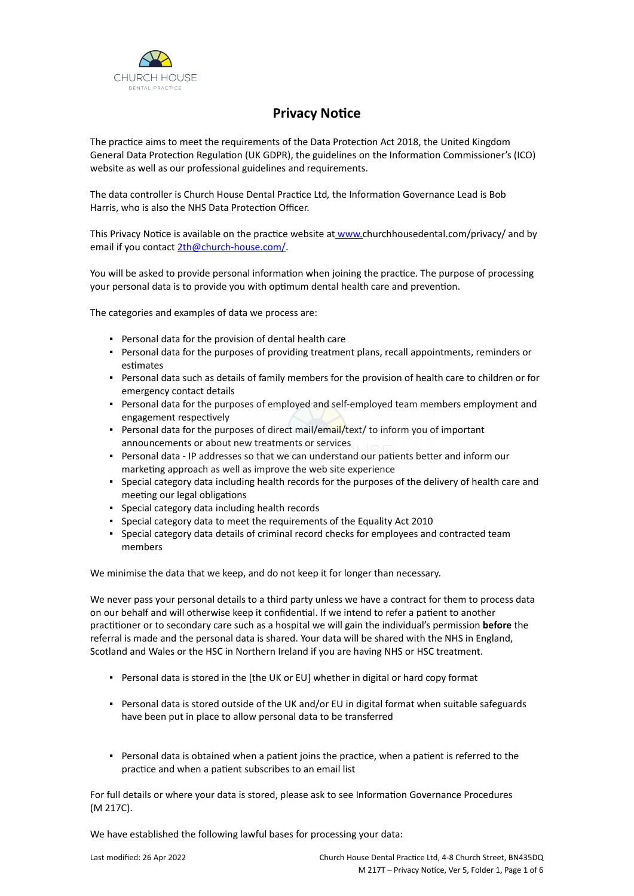

# **Privacy Notice**

The practice aims to meet the requirements of the Data Protection Act 2018, the United Kingdom General Data Protection Regulation (UK GDPR), the guidelines on the Information Commissioner's (ICO) website as well as our professional guidelines and requirements.

The data controller is Church House Dental Practice Ltd*,* the Information Governance Lead is Bob Harris, who is also the NHS Data Protection Officer.

This Privacy Notice is available on the practice website at [www.c](https://www.churchhousedental.com/privacy/)hurchhousedental.com/privacy/ and by email if you contact [2th@church-house.com/](mailto:info@practice.com).

You will be asked to provide personal information when joining the practice. The purpose of processing your personal data is to provide you with optimum dental health care and prevention.

The categories and examples of data we process are:

- Personal data for the provision of dental health care
- Personal data for the purposes of providing treatment plans, recall appointments, reminders or estimates
- Personal data such as details of family members for the provision of health care to children or for emergency contact details
- Personal data for the purposes of employed and self-employed team members employment and engagement respectively
- Personal data for the purposes of direct mail/email/text/ to inform you of important announcements or about new treatments or services
- Personal data IP addresses so that we can understand our patients better and inform our marketing approach as well as improve the web site experience
- Special category data including health records for the purposes of the delivery of health care and meeting our legal obligations
- Special category data including health records
- Special category data to meet the requirements of the Equality Act 2010
- Special category data details of criminal record checks for employees and contracted team members

We minimise the data that we keep, and do not keep it for longer than necessary.

We never pass your personal details to a third party unless we have a contract for them to process data on our behalf and will otherwise keep it confidential. If we intend to refer a patient to another practitioner or to secondary care such as a hospital we will gain the individual's permission **before** the referral is made and the personal data is shared. Your data will be shared with the NHS in England, Scotland and Wales or the HSC in Northern Ireland if you are having NHS or HSC treatment.

- Personal data is stored in the [the UK or EU] whether in digital or hard copy format
- Personal data is stored outside of the UK and/or EU in digital format when suitable safeguards have been put in place to allow personal data to be transferred
- Personal data is obtained when a patient joins the practice, when a patient is referred to the practice and when a patient subscribes to an email list

For full details or where your data is stored, please ask to see Information Governance Procedures (M 217C).

We have established the following lawful bases for processing your data: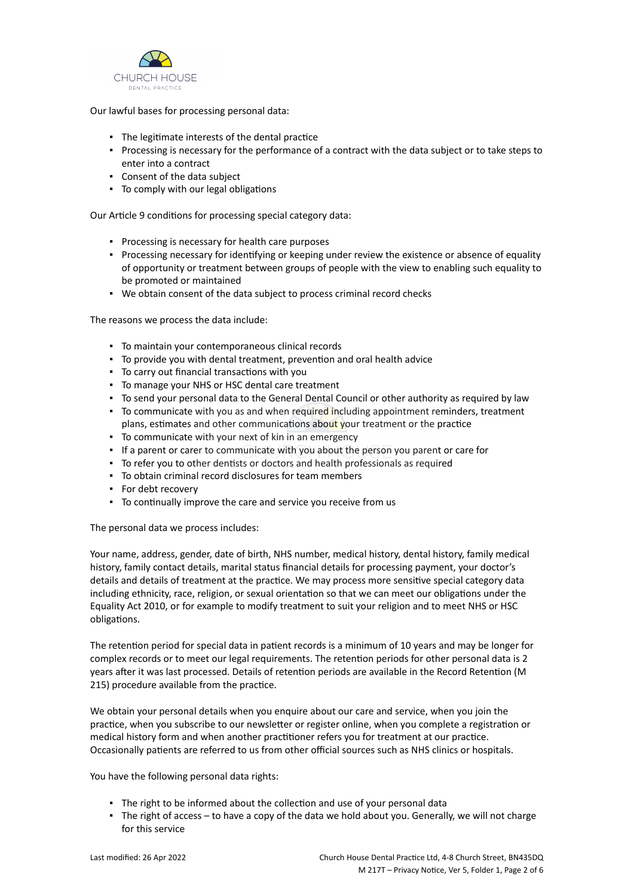

Our lawful bases for processing personal data:

- The legitimate interests of the dental practice
- Processing is necessary for the performance of a contract with the data subject or to take steps to enter into a contract
- Consent of the data subject
- To comply with our legal obligations

Our Article 9 conditions for processing special category data:

- Processing is necessary for health care purposes
- Processing necessary for identifying or keeping under review the existence or absence of equality of opportunity or treatment between groups of people with the view to enabling such equality to be promoted or maintained
- We obtain consent of the data subject to process criminal record checks

The reasons we process the data include:

- To maintain your contemporaneous clinical records
- To provide you with dental treatment, prevention and oral health advice
- To carry out financial transactions with you
- To manage your NHS or HSC dental care treatment
- To send your personal data to the General Dental Council or other authority as required by law
- **•** To communicate with you as and when required including appointment reminders, treatment plans, estimates and other communications about your treatment or the practice
- To communicate with your next of kin in an emergency
- If a parent or carer to communicate with you about the person you parent or care for
- To refer you to other dentists or doctors and health professionals as required
- To obtain criminal record disclosures for team members
- For debt recovery
- To continually improve the care and service you receive from us

The personal data we process includes:

Your name, address, gender, date of birth, NHS number, medical history, dental history, family medical history, family contact details, marital status financial details for processing payment, your doctor's details and details of treatment at the practice. We may process more sensitive special category data including ethnicity, race, religion, or sexual orientation so that we can meet our obligations under the Equality Act 2010, or for example to modify treatment to suit your religion and to meet NHS or HSC obligations.

The retention period for special data in patient records is a minimum of 10 years and may be longer for complex records or to meet our legal requirements. The retention periods for other personal data is 2 years after it was last processed. Details of retention periods are available in the Record Retention (M 215) procedure available from the practice.

We obtain your personal details when you enquire about our care and service, when you join the practice, when you subscribe to our newsletter or register online, when you complete a registration or medical history form and when another practitioner refers you for treatment at our practice. Occasionally patients are referred to us from other official sources such as NHS clinics or hospitals.

You have the following personal data rights:

- The right to be informed about the collection and use of your personal data
- The right of access to have a copy of the data we hold about you. Generally, we will not charge for this service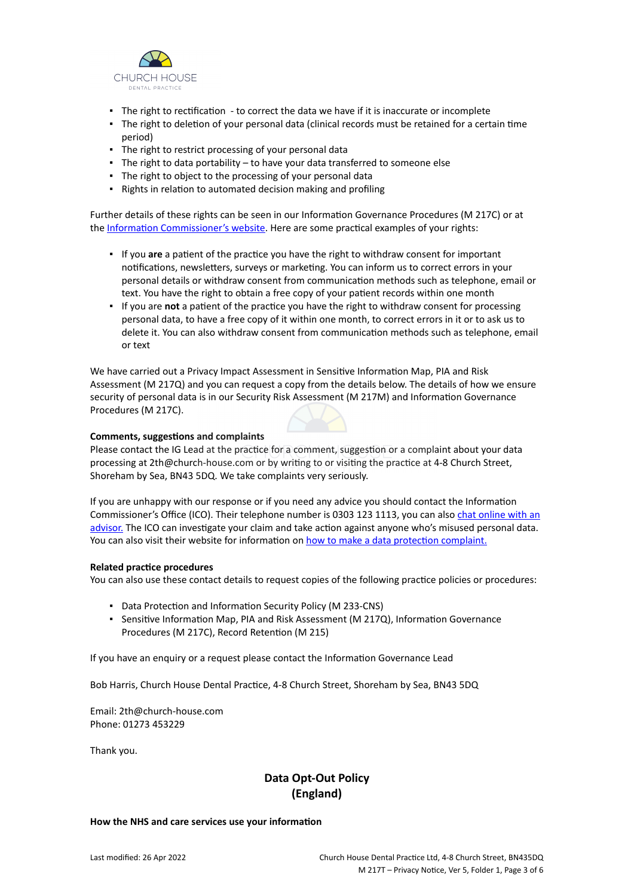

- The right to rectification to correct the data we have if it is inaccurate or incomplete
- The right to deletion of your personal data (clinical records must be retained for a certain time period)
- **·** The right to restrict processing of your personal data
- The right to data portability to have your data transferred to someone else
- The right to object to the processing of your personal data
- Rights in relation to automated decision making and profiling

Further details of these rights can be seen in our Information Governance Procedures (M 217C) or at the [Information Commissioner's website](https://ico.org.uk/for-organisations/guide-to-the-general-data-protection-regulation-gdpr/individual-rights/). Here are some practical examples of your rights:

- If you **are** a patient of the practice you have the right to withdraw consent for important notifications, newsletters, surveys or marketing. You can inform us to correct errors in your personal details or withdraw consent from communication methods such as telephone, email or text. You have the right to obtain a free copy of your patient records within one month
- If you are **not** a patient of the practice you have the right to withdraw consent for processing personal data, to have a free copy of it within one month, to correct errors in it or to ask us to delete it. You can also withdraw consent from communication methods such as telephone, email or text

We have carried out a Privacy Impact Assessment in Sensitive Information Map, PIA and Risk Assessment (M 217Q) and you can request a copy from the details below. The details of how we ensure security of personal data is in our Security Risk Assessment (M 217M) and Information Governance Procedures (M 217C).

# **Comments, suggestions and complaints**

Please contact the IG Lead at the practice for a comment, suggestion or a complaint about your data processing at 2th@church-house.com or by writing to or visiting the practice at 4-8 Church Street, Shoreham by Sea, BN43 5DQ. We take complaints very seriously.

If you are unhappy with our response or if you need any advice you should contact the Information Commissioner's Office (ICO). Their telephone number is 0303 123 1113, you can also [chat online with an](https://ico.org.uk/global/contact-us/live-chat/) [advisor.](https://ico.org.uk/global/contact-us/live-chat/) The ICO can investigate your claim and take action against anyone who's misused personal data. You can also visit their website for information on [how to make a data protection complaint.](http://www.ico.org.uk/complaints)

### **Related practice procedures**

You can also use these contact details to request copies of the following practice policies or procedures:

- Data Protection and Information Security Policy (M 233-CNS)
- Sensitive Information Map, PIA and Risk Assessment (M 217Q), Information Governance Procedures (M 217C), Record Retention (M 215)

If you have an enquiry or a request please contact the Information Governance Lead

Bob Harris, Church House Dental Practice, 4-8 Church Street, Shoreham by Sea, BN43 5DQ

Email: 2th@church-house.com Phone: 01273 453229

Thank you.

# **Data Opt-Out Policy (England)**

### **How the NHS and care services use your information**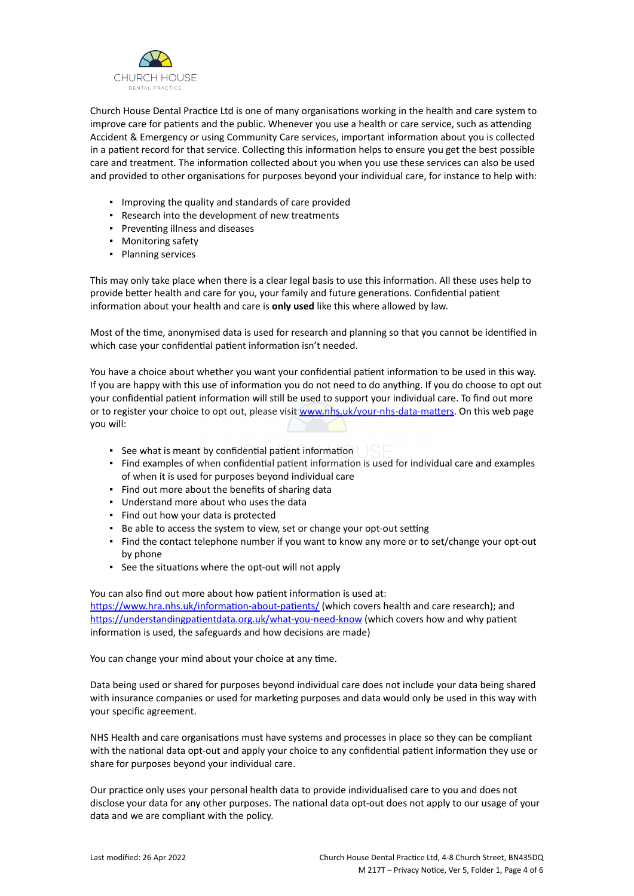

Church House Dental Practice Ltd is one of many organisations working in the health and care system to improve care for patients and the public. Whenever you use a health or care service, such as attending Accident & Emergency or using Community Care services, important information about you is collected in a patient record for that service. Collecting this information helps to ensure you get the best possible care and treatment. The information collected about you when you use these services can also be used and provided to other organisations for purposes beyond your individual care, for instance to help with:

- Improving the quality and standards of care provided
- Research into the development of new treatments
- Preventing illness and diseases
- Monitoring safety
- Planning services

This may only take place when there is a clear legal basis to use this information. All these uses help to provide better health and care for you, your family and future generations. Confidential patient information about your health and care is **only used** like this where allowed by law.

Most of the time, anonymised data is used for research and planning so that you cannot be identified in which case your confidential patient information isn't needed.

You have a choice about whether you want your confidential patient information to be used in this way. If you are happy with this use of information you do not need to do anything. If you do choose to opt out your confidential patient information will still be used to support your individual care. To find out more or to register your choice to opt out, please visit [www.nhs.uk/your-nhs-data-matters](http://www.nhs.uk/your-nhs-data-matters). On this web page you will:

- See what is meant by confidential patient information
- Find examples of when confidential patient information is used for individual care and examples of when it is used for purposes beyond individual care
- Find out more about the benefits of sharing data
- Understand more about who uses the data
- Find out how your data is protected
- Be able to access the system to view, set or change your opt-out setting
- Find the contact telephone number if you want to know any more or to set/change your opt-out by phone
- See the situations where the opt-out will not apply

You can also find out more about how patient information is used at: [https://www.hra.nhs.uk/information-about-patients/](https://www.hra.nhs.uk/information-about-patients/%20) (which covers health and care research); and <https://understandingpatientdata.org.uk/what-you-need-know> (which covers how and why patient information is used, the safeguards and how decisions are made)

You can change your mind about your choice at any time.

Data being used or shared for purposes beyond individual care does not include your data being shared with insurance companies or used for marketing purposes and data would only be used in this way with your specific agreement.

NHS Health and care organisations must have systems and processes in place so they can be compliant with the national data opt-out and apply your choice to any confidential patient information they use or share for purposes beyond your individual care.

Our practice only uses your personal health data to provide individualised care to you and does not disclose your data for any other purposes. The national data opt-out does not apply to our usage of your data and we are compliant with the policy.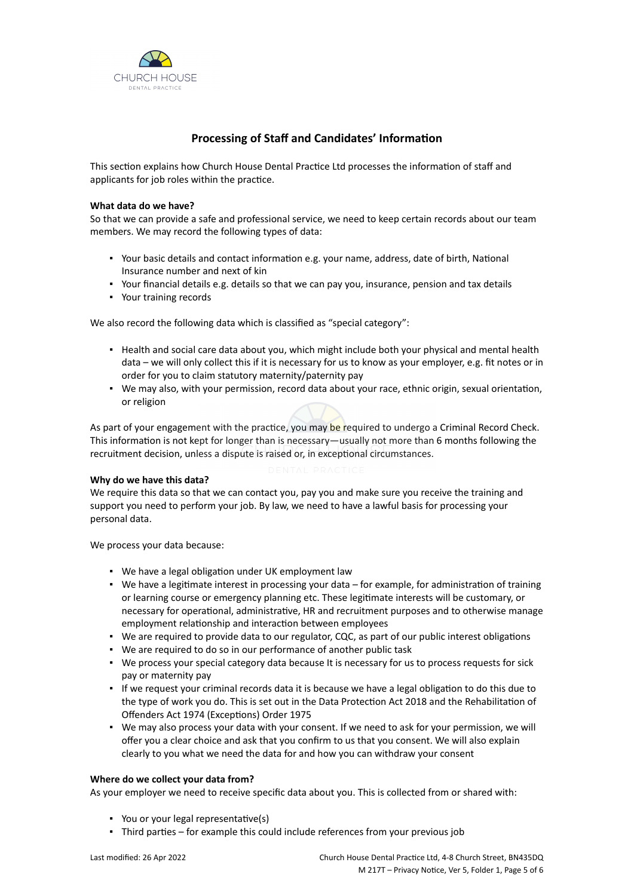

# **Processing of Staff and Candidates' Information**

This section explains how Church House Dental Practice Ltd processes the information of staff and applicants for job roles within the practice.

# **What data do we have?**

So that we can provide a safe and professional service, we need to keep certain records about our team members. We may record the following types of data:

- Your basic details and contact information e.g. your name, address, date of birth, National Insurance number and next of kin
- Your financial details e.g. details so that we can pay you, insurance, pension and tax details
- Your training records

We also record the following data which is classified as "special category":

- Health and social care data about you, which might include both your physical and mental health data – we will only collect this if it is necessary for us to know as your employer, e.g. fit notes or in order for you to claim statutory maternity/paternity pay
- We may also, with your permission, record data about your race, ethnic origin, sexual orientation, or religion

As part of your engagement with the practice, you may be required to undergo a Criminal Record Check. This information is not kept for longer than is necessary—usually not more than 6 months following the recruitment decision, unless a dispute is raised or, in exceptional circumstances.

### **Why do we have this data?**

We require this data so that we can contact you, pay you and make sure you receive the training and support you need to perform your job. By law, we need to have a lawful basis for processing your personal data.

We process your data because:

- We have a legal obligation under UK employment law
- We have a legitimate interest in processing your data for example, for administration of training or learning course or emergency planning etc. These legitimate interests will be customary, or necessary for operational, administrative, HR and recruitment purposes and to otherwise manage employment relationship and interaction between employees
- We are required to provide data to our regulator, CQC, as part of our public interest obligations
- We are required to do so in our performance of another public task
- We process your special category data because It is necessary for us to process requests for sick pay or maternity pay
- If we request your criminal records data it is because we have a legal obligation to do this due to the type of work you do. This is set out in the Data Protection Act 2018 and the Rehabilitation of Offenders Act 1974 (Exceptions) Order 1975
- We may also process your data with your consent. If we need to ask for your permission, we will offer you a clear choice and ask that you confirm to us that you consent. We will also explain clearly to you what we need the data for and how you can withdraw your consent

### **Where do we collect your data from?**

As your employer we need to receive specific data about you. This is collected from or shared with:

- You or your legal representative(s)
- Third parties for example this could include references from your previous job